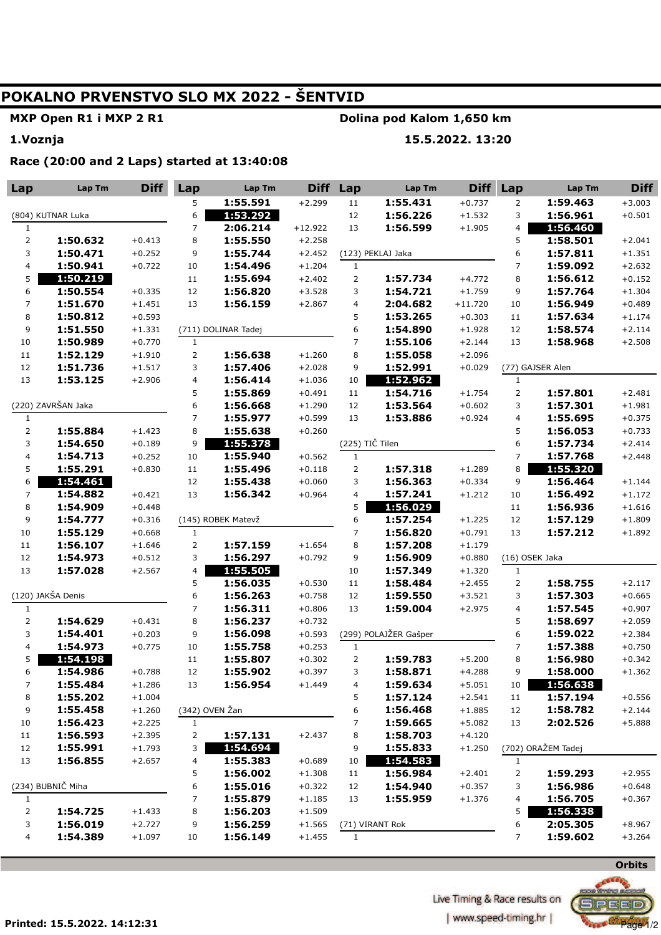# **POKALNO PRVENSTVO SLO MX 2022 - ŠENTVID**

## **MXP Open R1 i MXP 2 R1**

### **Dolina pod Kalom 1,650 km**

**1.Voznja** 

### **15.5.2022. 13:20**

**Race (20:00 and 2 Laps) started at 13:40:08** 

| Lap                 | Lap Tm               | <b>Diff</b>          | Lap            | Lap Tm               | <b>Diff</b>          | Lap                     | Lap Tm                | <b>Diff</b>          | Lap                 | Lap Tm               | <b>Diff</b> |
|---------------------|----------------------|----------------------|----------------|----------------------|----------------------|-------------------------|-----------------------|----------------------|---------------------|----------------------|-------------|
|                     |                      |                      | 5              | 1:55.591             | $+2.299$             | 11                      | 1:55.431              | $+0.737$             | $\overline{2}$      | 1:59.463             | $+3.003$    |
| (804) KUTNAR Luka   |                      |                      | 6              | 1:53.292             |                      | $12\,$                  | 1:56.226              | $+1.532$             | 3                   | 1:56.961             | $+0.501$    |
| $\mathbf{1}$        |                      |                      | 7              | 2:06.214             | $+12.922$            | 13                      | 1:56.599              | $+1.905$             | 4                   | 1:56.460             |             |
| $\overline{c}$      | 1:50.632             | $+0.413$             | 8              | 1:55.550             | $+2.258$             |                         |                       |                      | 5                   | 1:58.501             | $+2.041$    |
| 3                   | 1:50.471             | $+0.252$             | 9              | 1:55.744             | $+2.452$             |                         | (123) PEKLAJ Jaka     |                      | 6                   | 1:57.811             | $+1.351$    |
| 4                   | 1:50.941             | $+0.722$             | 10             | 1:54.496             | $+1.204$             | $\mathbf{1}$            |                       |                      | $\overline{7}$      | 1:59.092             | $+2.632$    |
| 5                   | 1:50.219             |                      | $11\,$         | 1:55.694             | $+2.402$             | $\overline{2}$          | 1:57.734              | $+4.772$             | 8                   | 1:56.612             | $+0.152$    |
| 6                   | 1:50.554             | $+0.335$             | 12             | 1:56.820             | $+3.528$             | 3                       | 1:54.721              | $+1.759$             | 9                   | 1:57.764             | $+1.304$    |
| $\overline{7}$      | 1:51.670             | $+1.451$             | 13             | 1:56.159             | $+2.867$             | $\overline{\mathbf{4}}$ | 2:04.682              | $+11.720$            | 10                  | 1:56.949             | $+0.489$    |
| 8                   | 1:50.812             | $+0.593$             |                |                      |                      | 5                       | 1:53.265              | $+0.303$             | 11                  | 1:57.634             | $+1.174$    |
| 9                   | 1:51.550             | $+1.331$             |                | (711) DOLINAR Tadej  |                      | 6                       | 1:54.890              | $+1.928$             | 12                  | 1:58.574             | $+2.114$    |
| 10                  | 1:50.989             | $+0.770$             | $\mathbf{1}$   |                      |                      | $\overline{7}$          | 1:55.106              | $+2.144$             | 13                  | 1:58.968             | $+2.508$    |
| 11                  | 1:52.129             | $+1.910$             | $\overline{2}$ | 1:56.638             | $+1.260$             | 8                       | 1:55.058              | $+2.096$             |                     |                      |             |
| 12                  | 1:51.736             | $+1.517$             | 3              | 1:57.406             | $+2.028$             | 9                       | 1:52.991              | $+0.029$             |                     | (77) GAJSER Alen     |             |
| 13                  | 1:53.125             | $+2.906$             | 4              | 1:56.414             | $+1.036$             | 10                      | 1:52.962              |                      | $\mathbf{1}$        |                      |             |
|                     |                      |                      | 5              | 1:55.869             | $+0.491$             | $11\,$                  | 1:54.716              | $+1.754$             | $\overline{2}$      | 1:57.801             | $+2.481$    |
|                     | (220) ZAVRŠAN Jaka   |                      | 6              | 1:56.668             | $+1.290$             | 12                      | 1:53.564              | $+0.602$             | 3                   | 1:57.301             | $+1.981$    |
| $\mathbf{1}$        |                      |                      | 7              | 1:55.977             | $+0.599$             | 13                      | 1:53.886              | $+0.924$             | 4                   | 1:55.695             | $+0.375$    |
| $\mathbf{2}$        | 1:55.884             | $+1.423$             | 8              | 1:55.638             | $+0.260$             |                         |                       |                      | 5                   | 1:56.053             | $+0.733$    |
| 3                   | 1:54.650             | $+0.189$             | 9              | 1:55.378             |                      | (225) TIČ Tilen         |                       |                      | 6                   | 1:57.734             | $+2.414$    |
| 4                   | 1:54.713             | $+0.252$             | 10             | 1:55.940             | $+0.562$             | $\mathbf{1}$            |                       |                      | $\overline{7}$      | 1:57.768             | $+2.448$    |
| 5                   | 1:55.291             | $+0.830$             | $11\,$         | 1:55.496             | $+0.118$             | $\overline{2}$          | 1:57.318              | $+1.289$             | 8                   | 1:55.320             |             |
| 6                   | 1:54.461             |                      | 12             | 1:55.438             | $+0.060$             | 3                       | 1:56.363              | $+0.334$             | 9                   | 1:56.464             | $+1.144$    |
| 7                   | 1:54.882             | $+0.421$             | 13             | 1:56.342             | $+0.964$             | $\overline{\mathbf{4}}$ | 1:57.241              | $+1.212$             | 10                  | 1:56.492             | $+1.172$    |
| 8                   | 1:54.909             | $+0.448$             |                |                      |                      | 5                       | 1:56.029              |                      | 11                  | 1:56.936             | $+1.616$    |
| 9                   | 1:54.777             | $+0.316$             |                | (145) ROBEK Matevž   |                      | 6                       | 1:57.254              | $+1.225$             | 12                  | 1:57.129             | $+1.809$    |
| 10                  | 1:55.129             | $+0.668$             | $\mathbf{1}$   |                      |                      | 7                       | 1:56.820              | $+0.791$             | 13                  | 1:57.212             | $+1.892$    |
| 11                  | 1:56.107             | $+1.646$             | $\overline{2}$ | 1:57.159             | $+1.654$             | 8                       | 1:57.208              | $+1.179$             |                     |                      |             |
| 12                  | 1:54.973             | $+0.512$             | 3              | 1:56.297             | $+0.792$             | 9                       | 1:56.909              | $+0.880$             | (16) OSEK Jaka      |                      |             |
| 13                  | 1:57.028             | $+2.567$             | 4              | 1:55.505             |                      | 10                      | 1:57.349              | $+1.320$             | $\mathbf{1}$        |                      |             |
|                     |                      |                      | 5              | 1:56.035             | $+0.530$             | 11                      | 1:58.484              | $+2.455$             | $\overline{2}$      | 1:58.755             | $+2.117$    |
| (120) JAKŠA Denis   |                      | 6                    | 1:56.263       | $+0.758$             | 12                   | 1:59.550                | $+3.521$              | 3                    | 1:57.303            | $+0.665$             |             |
| $\mathbf{1}$        |                      |                      | $\overline{7}$ | 1:56.311             | $+0.806$             | 13                      | 1:59.004              | $+2.975$             | 4                   | 1:57.545             | $+0.907$    |
| $\mathbf{2}$        | 1:54.629             | $+0.431$             | 8              | 1:56.237             | $+0.732$             |                         | (299) POLAJŽER Gašper |                      | 5                   | 1:58.697             | $+2.059$    |
| 3                   | 1:54.401             | $+0.203$             | 9              | 1:56.098             | $+0.593$             |                         |                       |                      | 6                   | 1:59.022             | $+2.384$    |
| 4                   | 1:54.973             | $+0.775$             | 10             | 1:55.758             | $+0.253$             | $\mathbf{1}$            |                       |                      | $\overline{7}$      | 1:57.388             | $+0.750$    |
| 5                   | 1:54.198             |                      | 11<br>12       | 1:55.807             | $+0.302$             | $\overline{2}$          | 1:59.783              | $+5.200$             | 8                   | 1:56.980             | $+0.342$    |
| 6<br>$\overline{7}$ | 1:54.986<br>1:55.484 | $+0.788$<br>$+1.286$ |                | 1:55.902<br>1:56.954 | $+0.397$<br>$+1.449$ | 3                       | 1:58.871<br>1:59.634  | $+4.288$<br>$+5.051$ | 9                   | 1:58.000<br>1:56.638 | $+1.362$    |
|                     | 1:55.202             | $+1.004$             | 13             |                      |                      | 4                       | 1:57.124              | $+2.541$             | 10                  | 1:57.194             | $+0.556$    |
| 8<br>9              | 1:55.458             | $+1.260$             | (342) OVEN Žan |                      |                      | 5<br>6                  | 1:56.468              | $+1.885$             | 11<br>12            | 1:58.782             | $+2.144$    |
| 10                  | 1:56.423             | $+2.225$             | $\mathbf{1}$   |                      |                      | $\overline{7}$          | 1:59.665              | $+5.082$             | 13                  | 2:02.526             | $+5.888$    |
| $11\,$              | 1:56.593             | $+2.395$             | $\overline{2}$ | 1:57.131             | $+2.437$             | 8                       | 1:58.703              | $+4.120$             |                     |                      |             |
| 12                  | 1:55.991             | $+1.793$             | 3              | 1:54.694             |                      | 9                       | 1:55.833              | $+1.250$             |                     | (702) ORAŽEM Tadej   |             |
| 13                  | 1:56.855             | $+2.657$             | 4              | 1:55.383             | $+0.689$             | 10                      | 1:54.583              |                      | $\mathbf{1}$        |                      |             |
|                     |                      |                      | 5              | 1:56.002             | $+1.308$             | 11                      | 1:56.984              | $+2.401$             |                     | 1:59.293             | $+2.955$    |
|                     | (234) BUBNIČ Miha    |                      | 6              | 1:55.016             | $+0.322$             | 12                      | 1:54.940              | $+0.357$             | $\overline{a}$<br>3 | 1:56.986             | $+0.648$    |
| $\mathbf{1}$        |                      |                      | 7              | 1:55.879             | $+1.185$             | 13                      | 1:55.959              | $+1.376$             | 4                   | 1:56.705             | $+0.367$    |
| 2                   | 1:54.725             | $+1.433$             | 8              | 1:56.203             | $+1.509$             |                         |                       |                      | 5                   | 1:56.338             |             |
| 3                   | 1:56.019             | $+2.727$             | 9              | 1:56.259             | $+1.565$             |                         | (71) VIRANT Rok       |                      | 6                   | 2:05.305             | $+8.967$    |
| 4                   | 1:54.389             | $+1.097$             | 10             | 1:56.149             | $+1.455$             | $\mathbf{1}$            |                       |                      | 7                   | 1:59.602             | $+3.264$    |
|                     |                      |                      |                |                      |                      |                         |                       |                      |                     |                      |             |